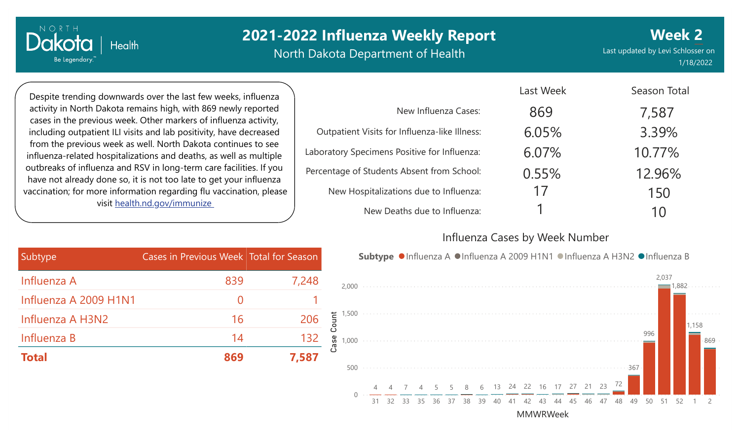# **2021-2022 Influenza Weekly Report**

North Dakota Department of Health

Last updated by Levi Schlosser on 1/18/2022 **Week 2**

Despite trending downwards over the last few weeks, influenza activity in North Dakota remains high, with 869 newly reported cases in the previous week. Other markers of influenza activity, including outpatient ILI visits and lab positivity, have decreased from the previous week as well. North Dakota continues to see influenza-related hospitalizations and deaths, as well as multiple outbreaks of influenza and RSV in long-term care facilities. If you have not already done so, it is not too late to get your influenza vaccination; for more information regarding flu vaccination, please visit [health.nd.gov/immunize](http://health.nd.gov/immunize)

**Health** 

NORTH

Dakota

Be Legendary.

|                                               | Last Week | Season Total |
|-----------------------------------------------|-----------|--------------|
| New Influenza Cases:                          | 869       | 7,587        |
| Outpatient Visits for Influenza-like Illness: | 6.05%     | 3.39%        |
| Laboratory Specimens Positive for Influenza:  | 6.07%     | 10.77%       |
| Percentage of Students Absent from School:    | 0.55%     | 12.96%       |
| New Hospitalizations due to Influenza:        | 17        | 150          |
| New Deaths due to Influenza:                  |           | 10           |

#### Influenza Cases by Week Number

Last Week

| Subtype               | Cases in Previous Week Total for Season |       |
|-----------------------|-----------------------------------------|-------|
| Influenza A           | 839                                     | 7,248 |
| Influenza A 2009 H1N1 | $\mathcal{O}$                           |       |
| Influenza A H3N2      | 16                                      | 206   |
| Influenza B           | 14                                      | 132   |
| <b>Total</b>          | 869                                     | 7,587 |



MMWRWeek

31 32 33 35 36 37 38 39 40 41 42 43 44 45 46 47 48 49 50 51 52 1 2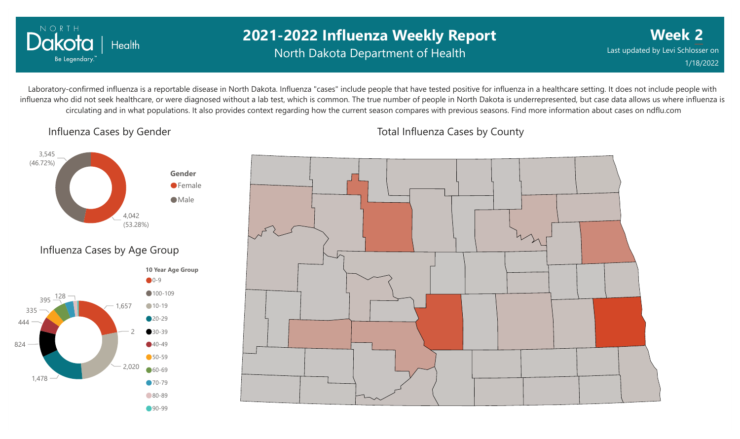

## **2021-2022 Influenza Weekly Report** North Dakota Department of Health

**Week 2** Last updated by Levi Schlosser on 1/18/2022

Laboratory-confirmed influenza is a reportable disease in North Dakota. Influenza "cases" include people that have tested positive for influenza in a healthcare setting. It does not include people with influenza who did not seek healthcare, or were diagnosed without a lab test, which is common. The true number of people in North Dakota is underrepresented, but case data allows us where influenza is circulating and in what populations. It also provides context regarding how the current season compares with previous seasons. Find more information about cases on ndflu.com

Influenza Cases by Gender





Total Influenza Cases by County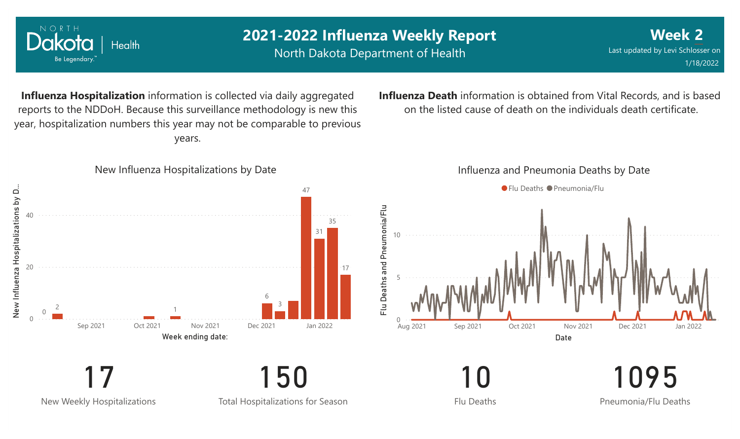

New Weekly Hospitalizations

NORTH

Total Hospitalizations for Season

Flu Deaths

Pneumonia/Flu Deaths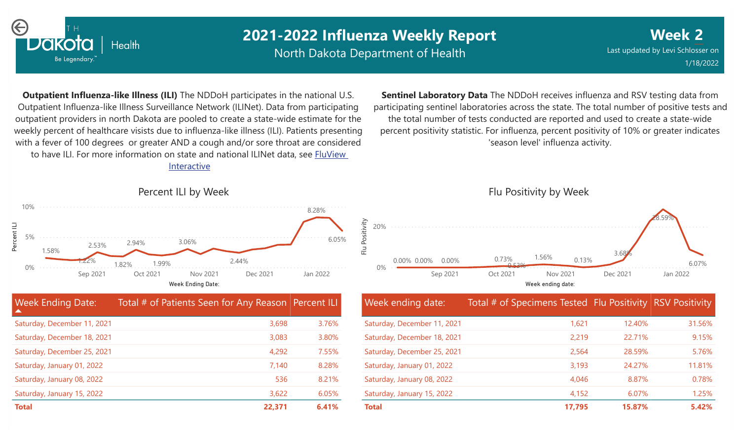

# **2021-2022 Influenza Weekly Report**

North Dakota Department of Health

**Week 2** Last updated by Levi Schlosser on 1/18/2022

**Outpatient Influenza-like Illness (ILI)** The NDDoH participates in the national U.S. Outpatient Influenza-like Illness Surveillance Network (ILINet). Data from participating outpatient providers in north Dakota are pooled to create a state-wide estimate for the weekly percent of healthcare visists due to influenza-like illness (ILI). Patients presenting with a fever of 100 degrees or greater AND a cough and/or sore throat are considered to have ILI. For more information [on state and national ILINet data, see FluView](http://fluview%20interactive/)

Interactive



| <b>Week Ending Date:</b><br>$\blacktriangle$ | Total # of Patients Seen for Any Reason Percent ILI |       |
|----------------------------------------------|-----------------------------------------------------|-------|
| Saturday, December 11, 2021                  | 3,698                                               | 3.76% |
| Saturday, December 18, 2021                  | 3,083                                               | 3.80% |
| Saturday, December 25, 2021                  | 4,292                                               | 7.55% |
| Saturday, January 01, 2022                   | 7,140                                               | 8.28% |
| Saturday, January 08, 2022                   | 536                                                 | 8.21% |
| Saturday, January 15, 2022                   | 3,622                                               | 6.05% |
| <b>Total</b>                                 | 22,371                                              | 6.41% |

**Sentinel Laboratory Data** The NDDoH receives influenza and RSV testing data from participating sentinel laboratories across the state. The total number of positive tests and the total number of tests conducted are reported and used to create a state-wide percent positivity statistic. For influenza, percent positivity of 10% or greater indicates 'season level' influenza activity.



| Week ending date:           | Total # of Specimens Tested Flu Positivity RSV Positivity |        |        |
|-----------------------------|-----------------------------------------------------------|--------|--------|
| Saturday, December 11, 2021 | 1,621                                                     | 12.40% | 31.56% |
| Saturday, December 18, 2021 | 2,219                                                     | 22.71% | 9.15%  |
| Saturday, December 25, 2021 | 2,564                                                     | 28.59% | 5.76%  |
| Saturday, January 01, 2022  | 3,193                                                     | 24.27% | 11.81% |
| Saturday, January 08, 2022  | 4,046                                                     | 8.87%  | 0.78%  |
| Saturday, January 15, 2022  | 4,152                                                     | 6.07%  | 1.25%  |
| <b>Total</b>                | 17,795                                                    | 15.87% | 5.42%  |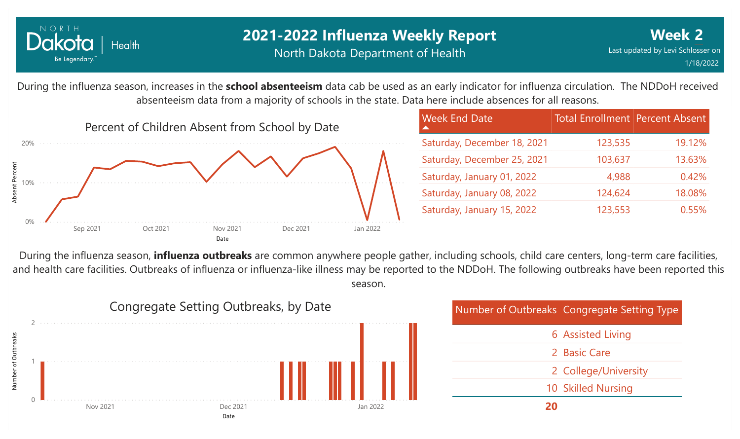

### **2021-2022 Influenza Weekly Report** North Dakota Department of Health

During the influenza season, increases in the **school absenteeism** data cab be used as an early indicator for influenza circulation. The NDDoH received absenteeism data from a majority of schools in the state. Data here include absences for all reasons.



| <b>Week End Date</b>        | <b>Total Enrollment Percent Absent</b> |        |
|-----------------------------|----------------------------------------|--------|
| Saturday, December 18, 2021 | 123,535                                | 19.12% |
| Saturday, December 25, 2021 | 103,637                                | 13.63% |
| Saturday, January 01, 2022  | 4,988                                  | 0.42%  |
| Saturday, January 08, 2022  | 124,624                                | 18.08% |
| Saturday, January 15, 2022  | 123,553                                | 0.55%  |

During the influenza season, **influenza outbreaks** are common anywhere people gather, including schools, child care centers, long-term care facilities, and health care facilities. Outbreaks of influenza or influenza-like illness may be reported to the NDDoH. The following outbreaks have been reported this season.



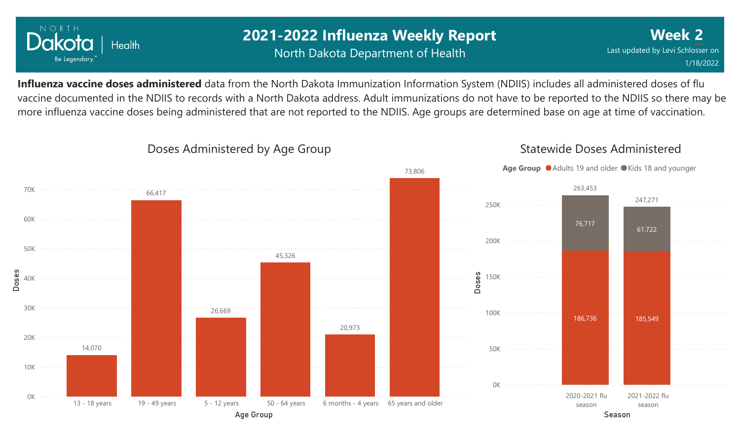

### **2021-2022 Influenza Weekly Report** North Dakota Department of Health

**Week 2** Last updated by Levi Schlosser on 1/18/2022

Statewide Doses Administered

**Influenza vaccine doses administered** data from the North Dakota Immunization Information System (NDIIS) includes all administered doses of flu vaccine documented in the NDIIS to records with a North Dakota address. Adult immunizations do not have to be reported to the NDIIS so there may be more influenza vaccine doses being administered that are not reported to the NDIIS. Age groups are determined base on age at time of vaccination.



#### Doses Administered by Age Group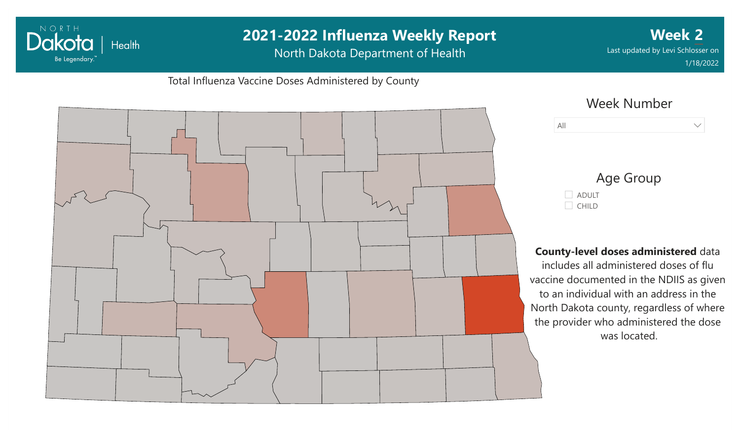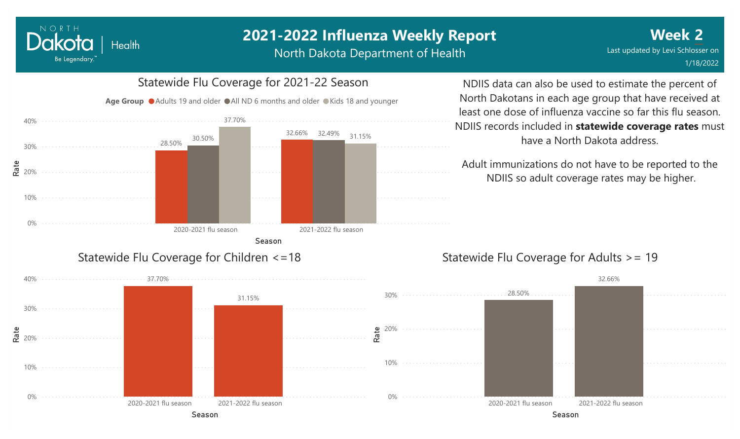#### NORTH Dakota Health Be Legendary.

# **2021-2022 Influenza Weekly Report**

North Dakota Department of Health



NDIIS data can also be used to estimate the percent of North Dakotans in each age group that have received at least one dose of influenza vaccine so far this flu season. NDIIS records included in **statewide coverage rates** must have a North Dakota address.

Adult immunizations do not have to be reported to the NDIIS so adult coverage rates may be higher.

### Statewide Flu Coverage for Adults >= 19